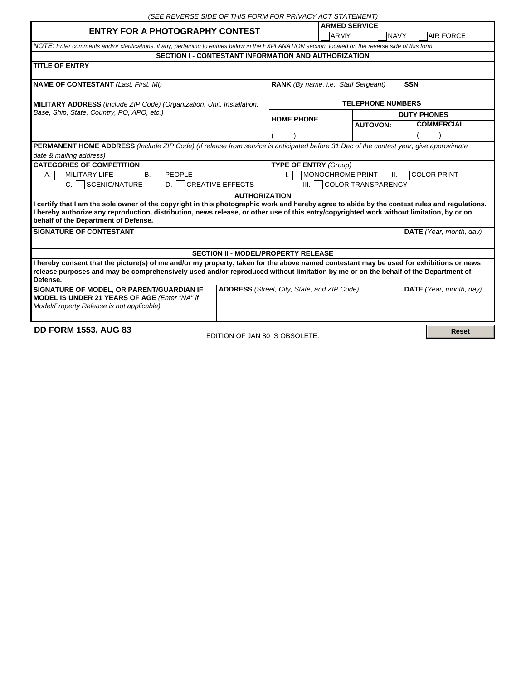| (SEE REVERSE SIDE OF THIS FORM FOR PRIVACY ACT STATEMENT)                                                                                                                                                                                                                                                                                                  |                                                           |                            |                         |  |
|------------------------------------------------------------------------------------------------------------------------------------------------------------------------------------------------------------------------------------------------------------------------------------------------------------------------------------------------------------|-----------------------------------------------------------|----------------------------|-------------------------|--|
| <b>ENTRY FOR A PHOTOGRAPHY CONTEST</b>                                                                                                                                                                                                                                                                                                                     |                                                           | <b>ARMED SERVICE</b>       |                         |  |
|                                                                                                                                                                                                                                                                                                                                                            |                                                           | <b>ARMY</b><br><b>NAVY</b> | <b>AIR FORCE</b>        |  |
| NOTE: Enter comments and/or clarifications, if any, pertaining to entries below in the EXPLANATION section, located on the reverse side of this form.                                                                                                                                                                                                      |                                                           |                            |                         |  |
| <b>SECTION I - CONTESTANT INFORMATION AND AUTHORIZATION</b>                                                                                                                                                                                                                                                                                                |                                                           |                            |                         |  |
| <b>TITLE OF ENTRY</b>                                                                                                                                                                                                                                                                                                                                      |                                                           |                            |                         |  |
| <b>NAME OF CONTESTANT (Last, First, MI)</b>                                                                                                                                                                                                                                                                                                                | <b>RANK</b> (By name, i.e., Staff Sergeant)<br><b>SSN</b> |                            |                         |  |
| MILITARY ADDRESS (Include ZIP Code) (Organization, Unit, Installation,                                                                                                                                                                                                                                                                                     | <b>TELEPHONE NUMBERS</b>                                  |                            |                         |  |
| Base, Ship, State, Country, PO, APO, etc.)                                                                                                                                                                                                                                                                                                                 |                                                           |                            | <b>DUTY PHONES</b>      |  |
|                                                                                                                                                                                                                                                                                                                                                            | <b>HOME PHONE</b>                                         | <b>AUTOVON:</b>            | <b>COMMERCIAL</b>       |  |
|                                                                                                                                                                                                                                                                                                                                                            |                                                           |                            |                         |  |
| PERMANENT HOME ADDRESS (Include ZIP Code) (If release from service is anticipated before 31 Dec of the contest year, give approximate                                                                                                                                                                                                                      |                                                           |                            |                         |  |
| date & mailing address)                                                                                                                                                                                                                                                                                                                                    |                                                           |                            |                         |  |
| <b>CATEGORIES OF COMPETITION</b>                                                                                                                                                                                                                                                                                                                           | <b>TYPE OF ENTRY (Group)</b>                              |                            |                         |  |
| PEOPLE<br><b>MILITARY LIFE</b><br><b>B.</b><br>A. I                                                                                                                                                                                                                                                                                                        | MONOCHROME PRINT<br><b>COLOR PRINT</b><br>Ш.              |                            |                         |  |
| SCENIC/NATURE<br><b>CREATIVE EFFECTS</b><br>C.<br>D.                                                                                                                                                                                                                                                                                                       | COLOR TRANSPARENCY<br>III.                                |                            |                         |  |
| <b>AUTHORIZATION</b><br>I certify that I am the sole owner of the copyright in this photographic work and hereby agree to abide by the contest rules and regulations.<br>I hereby authorize any reproduction, distribution, news release, or other use of this entry/copyrighted work without limitation, by or on<br>behalf of the Department of Defense. |                                                           |                            |                         |  |
| <b>SIGNATURE OF CONTESTANT</b>                                                                                                                                                                                                                                                                                                                             |                                                           | DATE (Year, month, day)    |                         |  |
| <b>SECTION II - MODEL/PROPERTY RELEASE</b>                                                                                                                                                                                                                                                                                                                 |                                                           |                            |                         |  |
| I hereby consent that the picture(s) of me and/or my property, taken for the above named contestant may be used for exhibitions or news<br>release purposes and may be comprehensively used and/or reproduced without limitation by me or on the behalf of the Department of<br>Defense.                                                                   |                                                           |                            |                         |  |
| SIGNATURE OF MODEL, OR PARENT/GUARDIAN IF<br>MODEL IS UNDER 21 YEARS OF AGE (Enter "NA" if<br>Model/Property Release is not applicable)                                                                                                                                                                                                                    | <b>ADDRESS</b> (Street, City, State, and ZIP Code)        |                            | DATE (Year, month, day) |  |
| <b>DD FORM 1553, AUG 83</b><br>EDITION OF JAN 80 IS OBSOLETE.                                                                                                                                                                                                                                                                                              |                                                           |                            | <b>Reset</b>            |  |